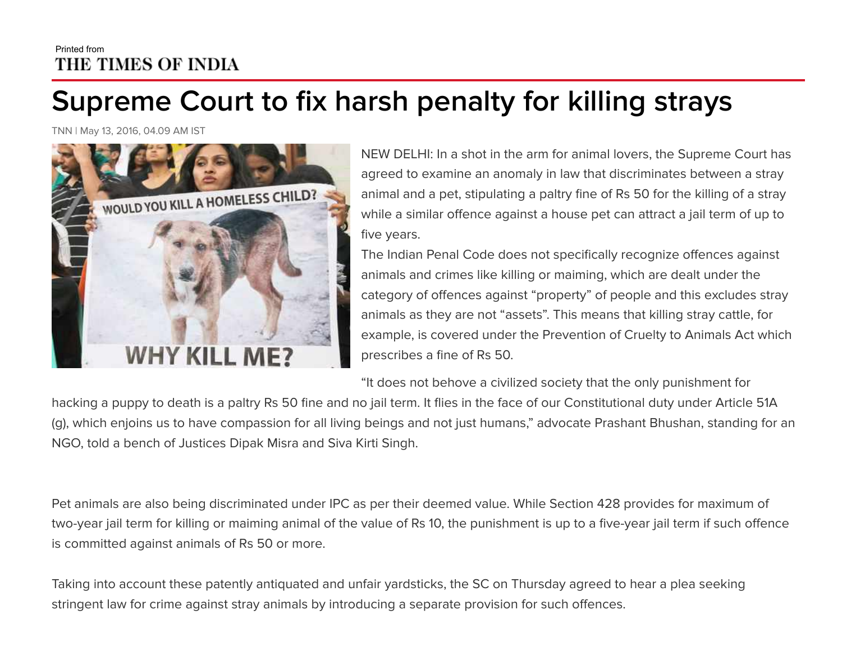## Printed from THE TIMES OF INDIA

## **Supreme Court to fix harsh penalty for killing strays**

TNN | May 13, 2016, 04.09 AM IST



NEW DELHI: In a shot in the arm for animal lovers, the Supreme Court has agreed to examine an anomaly in law that discriminates between a stray animal and a pet, stipulating a paltry fine of Rs 50 for the killing of a stray while a similar offence against a house pet can attract a jail term of up to five years.

The Indian Penal Code does not specifically recognize offences against animals and crimes like killing or maiming, which are dealt under the category of offences against "property" of people and this excludes stray animals as they are not "assets". This means that killing stray cattle, for example, is covered under the Prevention of Cruelty to Animals Act which prescribes a fine of Rs 50.

"It does not behove a civilized society that the only punishment for

hacking a puppy to death is a paltry Rs 50 fine and no jail term. It flies in the face of our Constitutional duty under Article 51A (g), which enjoins us to have compassion for all living beings and not just humans," advocate Prashant Bhushan, standing for an NGO, told a bench of Justices Dipak Misra and Siva Kirti Singh.

Pet animals are also being discriminated under IPC as per their deemed value. While Section 428 provides for maximum of two-year jail term for killing or maiming animal of the value of Rs 10, the punishment is up to a five-year jail term if such offence is committed against animals of Rs 50 or more.

Taking into account these patently antiquated and unfair yardsticks, the SC on Thursday agreed to hear a plea seeking stringent law for crime against stray animals by introducing a separate provision for such offences.